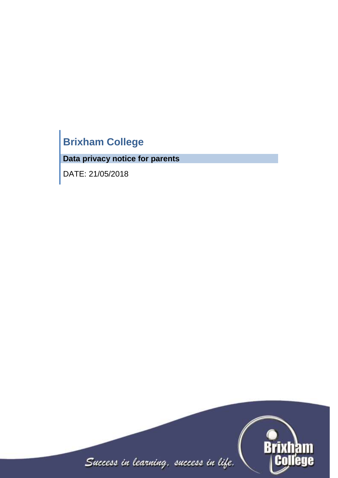# **Brixham College**

**Data privacy notice for parents**

DATE: 21/05/2018

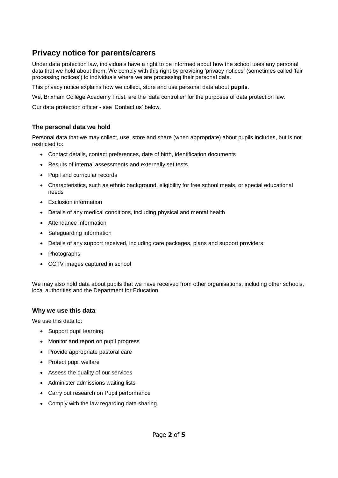# **Privacy notice for parents/carers**

Under data protection law, individuals have a right to be informed about how the school uses any personal data that we hold about them. We comply with this right by providing 'privacy notices' (sometimes called 'fair processing notices') to individuals where we are processing their personal data.

This privacy notice explains how we collect, store and use personal data about **pupils**.

We, Brixham College Academy Trust, are the 'data controller' for the purposes of data protection law.

Our data protection officer - see 'Contact us' below.

### **The personal data we hold**

Personal data that we may collect, use, store and share (when appropriate) about pupils includes, but is not restricted to:

- Contact details, contact preferences, date of birth, identification documents
- Results of internal assessments and externally set tests
- Pupil and curricular records
- Characteristics, such as ethnic background, eligibility for free school meals, or special educational needs
- Exclusion information
- Details of any medical conditions, including physical and mental health
- Attendance information
- Safeguarding information
- Details of any support received, including care packages, plans and support providers
- Photographs
- CCTV images captured in school

We may also hold data about pupils that we have received from other organisations, including other schools, local authorities and the Department for Education.

#### **Why we use this data**

We use this data to:

- Support pupil learning
- Monitor and report on pupil progress
- Provide appropriate pastoral care
- Protect pupil welfare
- Assess the quality of our services
- Administer admissions waiting lists
- Carry out research on Pupil performance
- Comply with the law regarding data sharing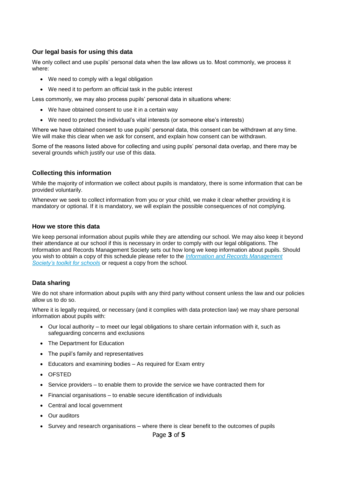#### **Our legal basis for using this data**

We only collect and use pupils' personal data when the law allows us to. Most commonly, we process it where:

- We need to comply with a legal obligation
- We need it to perform an official task in the public interest

Less commonly, we may also process pupils' personal data in situations where:

- We have obtained consent to use it in a certain way
- We need to protect the individual's vital interests (or someone else's interests)

Where we have obtained consent to use pupils' personal data, this consent can be withdrawn at any time. We will make this clear when we ask for consent, and explain how consent can be withdrawn.

Some of the reasons listed above for collecting and using pupils' personal data overlap, and there may be several grounds which justify our use of this data.

#### **Collecting this information**

While the majority of information we collect about pupils is mandatory, there is some information that can be provided voluntarily.

Whenever we seek to collect information from you or your child, we make it clear whether providing it is mandatory or optional. If it is mandatory, we will explain the possible consequences of not complying.

#### **How we store this data**

We keep personal information about pupils while they are attending our school. We may also keep it beyond their attendance at our school if this is necessary in order to comply with our legal obligations. The Information and Records Management Society sets out how long we keep information about pupils. Should you wish to obtain a copy of this schedule please refer to the *[Information and Records Management](http://irms.org.uk/?page=schoolstoolkit&terms=%22toolkit+and+schools%22)  [Society's toolkit for schools](http://irms.org.uk/?page=schoolstoolkit&terms=%22toolkit+and+schools%22)* or request a copy from the school.

#### **Data sharing**

We do not share information about pupils with any third party without consent unless the law and our policies allow us to do so.

Where it is legally required, or necessary (and it complies with data protection law) we may share personal information about pupils with:

- Our local authority to meet our legal obligations to share certain information with it, such as safeguarding concerns and exclusions
- The Department for Education
- The pupil's family and representatives
- Educators and examining bodies As required for Exam entry
- OFSTED
- Service providers to enable them to provide the service we have contracted them for
- Financial organisations to enable secure identification of individuals
- Central and local government
- Our auditors
- Survey and research organisations where there is clear benefit to the outcomes of pupils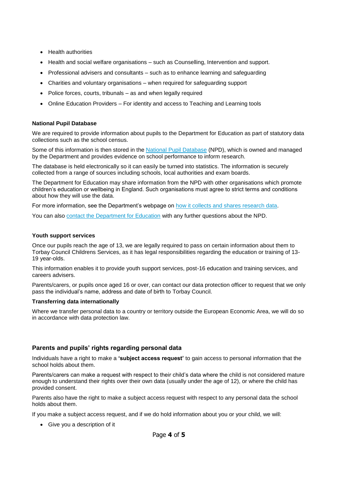- Health authorities
- Health and social welfare organisations such as Counselling, Intervention and support.
- Professional advisers and consultants such as to enhance learning and safeguarding
- Charities and voluntary organisations when required for safeguarding support
- Police forces, courts, tribunals as and when legally required
- Online Education Providers For identity and access to Teaching and Learning tools

#### **National Pupil Database**

We are required to provide information about pupils to the Department for Education as part of statutory data collections such as the school census.

Some of this information is then stored in the [National Pupil Database](https://www.gov.uk/government/publications/national-pupil-database-user-guide-and-supporting-information) (NPD), which is owned and managed by the Department and provides evidence on school performance to inform research.

The database is held electronically so it can easily be turned into statistics. The information is securely collected from a range of sources including schools, local authorities and exam boards.

The Department for Education may share information from the NPD with other organisations which promote children's education or wellbeing in England. Such organisations must agree to strict terms and conditions about how they will use the data.

For more information, see the Department's webpage on [how it collects and shares research data.](https://www.gov.uk/data-protection-how-we-collect-and-share-research-data)

You can also [contact the Department for Education](https://www.gov.uk/contact-dfe) with any further questions about the NPD.

#### **Youth support services**

Once our pupils reach the age of 13, we are legally required to pass on certain information about them to Torbay Council Childrens Services, as it has legal responsibilities regarding the education or training of 13- 19 year-olds.

This information enables it to provide youth support services, post-16 education and training services, and careers advisers.

Parents/carers, or pupils once aged 16 or over, can contact our data protection officer to request that we only pass the individual's name, address and date of birth to Torbay Council.

#### **Transferring data internationally**

Where we transfer personal data to a country or territory outside the European Economic Area, we will do so in accordance with data protection law.

#### **Parents and pupils' rights regarding personal data**

Individuals have a right to make a **'subject access request'** to gain access to personal information that the school holds about them.

Parents/carers can make a request with respect to their child's data where the child is not considered mature enough to understand their rights over their own data (usually under the age of 12), or where the child has provided consent.

Parents also have the right to make a subject access request with respect to any personal data the school holds about them.

If you make a subject access request, and if we do hold information about you or your child, we will:

Give you a description of it